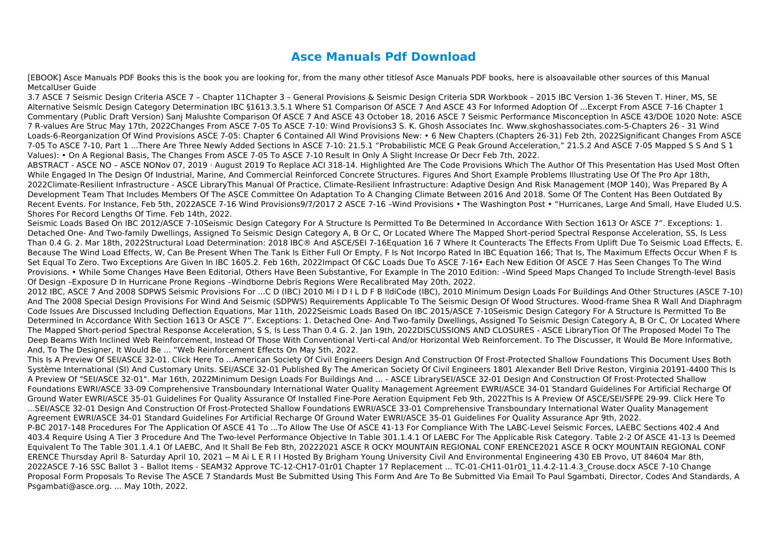## **Asce Manuals Pdf Download**

[EBOOK] Asce Manuals PDF Books this is the book you are looking for, from the many other titlesof Asce Manuals PDF books, here is alsoavailable other sources of this Manual MetcalUser Guide

3.7 ASCE 7 Seismic Design Criteria ASCE 7 – Chapter 11Chapter 3 – General Provisions & Seismic Design Criteria SDR Workbook – 2015 IBC Version 1-36 Steven T. Hiner, MS, SE Alternative Seismic Design Category Determination IBC §1613.3.5.1 Where S1 Comparison Of ASCE 7 And ASCE 43 For Informed Adoption Of ...Excerpt From ASCE 7-16 Chapter 1 Commentary (Public Draft Version) Sanj Malushte Comparison Of ASCE 7 And ASCE 43 October 18, 2016 ASCE 7 Seismic Performance Misconception In ASCE 43/DOE 1020 Note: ASCE 7 R-values Are Struc May 17th, 2022Changes From ASCE 7-05 To ASCE 7-10: Wind Provisions3 S. K. Ghosh Associates Inc. Www.skghoshassociates.com-5-Chapters 26 - 31 Wind Loads-6-Reorganization Of Wind Provisions ASCE 7-05: Chapter 6 Contained All Wind Provisions New: • 6 New Chapters (Chapters 26-31) Feb 2th, 2022Significant Changes From ASCE 7-05 To ASCE 7-10, Part 1 ...There Are Three Newly Added Sections In ASCE 7-10: 21.5.1 "Probabilistic MCE G Peak Ground Acceleration," 21.5.2 And ASCE 7-05 Mapped S S And S 1 Values): • On A Regional Basis, The Changes From ASCE 7-05 To ASCE 7-10 Result In Only A Slight Increase Or Decr Feb 7th, 2022.

ABSTRACT - ASCE NO – ASCE NONov 07, 2019 · August 2019 To Replace ACI 318-14. Highlighted Are The Code Provisions Which The Author Of This Presentation Has Used Most Often While Engaged In The Design Of Industrial, Marine, And Commercial Reinforced Concrete Structures. Figures And Short Example Problems Illustrating Use Of The Pro Apr 18th, 2022Climate-Resilient Infrastructure - ASCE LibraryThis Manual Of Practice, Climate-Resilient Infrastructure: Adaptive Design And Risk Management (MOP 140), Was Prepared By A Development Team That Includes Members Of The ASCE Committee On Adaptation To A Changing Climate Between 2016 And 2018. Some Of The Content Has Been Outdated By Recent Events. For Instance, Feb 5th, 2022ASCE 7-16 Wind Provisions9/7/2017 2 ASCE 7-16 -Wind Provisions • The Washington Post • "Hurricanes, Large And Small, Have Eluded U.S. Shores For Record Lengths Of Time. Feb 14th, 2022.

Seismic Loads Based On IBC 2012/ASCE 7-10Seismic Design Category For A Structure Is Permitted To Be Determined In Accordance With Section 1613 Or ASCE 7". Exceptions: 1. Detached One- And Two-family Dwellings, Assigned To Seismic Design Category A, B Or C, Or Located Where The Mapped Short-period Spectral Response Acceleration, SS, Is Less Than 0.4 G. 2. Mar 18th, 2022Structural Load Determination: 2018 IBC® And ASCE/SEI 7-16Equation 16 7 Where It Counteracts The Effects From Uplift Due To Seismic Load Effects, E. Because The Wind Load Effects, W, Can Be Present When The Tank Is Either Full Or Empty, F Is Not Incorpo Rated In IBC Equation 166; That Is, The Maximum Effects Occur When F Is Set Equal To Zero. Two Exceptions Are Given In IBC 1605.2. Feb 16th, 2022Impact Of C&C Loads Due To ASCE 7-16• Each New Edition Of ASCE 7 Has Seen Changes To The Wind Provisions. • While Some Changes Have Been Editorial, Others Have Been Substantive, For Example In The 2010 Edition: –Wind Speed Maps Changed To Include Strength-level Basis Of Design –Exposure D In Hurricane Prone Regions –Windborne Debris Regions Were Recalibrated May 20th, 2022.

2012 IBC, ASCE 7 And 2008 SDPWS Seismic Provisions For ...C D (IBC) 2010 Mi I D I L D F B IldiCode (IBC), 2010 Minimum Design Loads For Buildings And Other Structures (ASCE 7-10) And The 2008 Special Design Provisions For Wind And Seismic (SDPWS) Requirements Applicable To The Seismic Design Of Wood Structures. Wood-frame Shea R Wall And Diaphragm Code Issues Are Discussed Including Deflection Equations, Mar 11th, 2022Seismic Loads Based On IBC 2015/ASCE 7-10Seismic Design Category For A Structure Is Permitted To Be Determined In Accordance With Section 1613 Or ASCE 7". Exceptions: 1. Detached One- And Two-family Dwellings, Assigned To Seismic Design Category A, B Or C, Or Located Where The Mapped Short-period Spectral Response Acceleration, S S, Is Less Than 0.4 G. 2. Jan 19th, 2022DISCUSSIONS AND CLOSURES - ASCE LibraryTion Of The Proposed Model To The Deep Beams With Inclined Web Reinforcement, Instead Of Those With Conventional Verti-cal And/or Horizontal Web Reinforcement. To The Discusser, It Would Be More Informative, And, To The Designer, It Would Be ... "Web Reinforcement Effects On May 5th, 2022.

This Is A Preview Of SEI/ASCE 32-01. Click Here To ...American Society Of Civil Engineers Design And Construction Of Frost-Protected Shallow Foundations This Document Uses Both Système International (SI) And Customary Units. SEI/ASCE 32-01 Published By The American Society Of Civil Engineers 1801 Alexander Bell Drive Reston, Virginia 20191-4400 This Is A Preview Of "SEI/ASCE 32-01". Mar 16th, 2022Minimum Design Loads For Buildings And ... - ASCE LibrarySEI/ASCE 32-01 Design And Construction Of Frost-Protected Shallow Foundations EWRI/ASCE 33-09 Comprehensive Transboundary International Water Quality Management Agreement EWRI/ASCE 34-01 Standard Guidelines For Artificial Recharge Of Ground Water EWRI/ASCE 35-01 Guidelines For Quality Assurance Of Installed Fine-Pore Aeration Equipment Feb 9th, 2022This Is A Preview Of ASCE/SEI/SFPE 29-99. Click Here To ...SEI/ASCE 32-01 Design And Construction Of Frost-Protected Shallow Foundations EWRI/ASCE 33-01 Comprehensive Transboundary International Water Quality Management Agreement EWRI/ASCE 34-01 Standard Guidelines For Artificial Recharge Of Ground Water EWRI/ASCE 35-01 Guidelines For Quality Assurance Apr 9th, 2022. P-BC 2017-148 Procedures For The Application Of ASCE 41 To ...To Allow The Use Of ASCE 41-13 For Compliance With The LABC-Level Seismic Forces, LAEBC Sections 402.4 And 403.4 Require Using A Tier 3 Procedure And The Two-level Performance Objective In Table 301.1.4.1 Of LAEBC For The Applicable Risk Category. Table 2-2 Of ASCE 41-13 Is Deemed Equivalent To The Table 301.1.4.1 Of LAEBC, And It Shall Be Feb 8th, 20222021 ASCE R OCKY MOUNTAIN REGIONAL CONF ERENCE2021 ASCE R OCKY MOUNTAIN REGIONAL CONF ERENCE Thursday April 8- Saturday April 10, 2021 ─ M Ai L E R I I Hosted By Brigham Young University Civil And Environmental Engineering 430 EB Provo, UT 84604 Mar 8th, 2022ASCE 7-16 SSC Ballot 3 – Ballot Items - SEAM32 Approve TC-12-CH17-01r01 Chapter 17 Replacement ... TC-01-CH11-01r01\_11.4.2-11.4.3\_Crouse.docx ASCE 7-10 Change Proposal Form Proposals To Revise The ASCE 7 Standards Must Be Submitted Using This Form And Are To Be Submitted Via Email To Paul Sgambati, Director, Codes And Standards, A Psgambati@asce.org. ... May 10th, 2022.